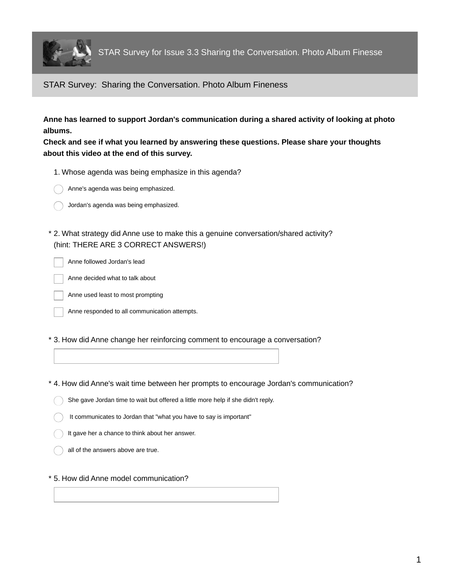

## STAR Survey: Sharing the Conversation. Photo Album Fineness

**Anne has learned to support Jordan's communication during a shared activity of looking at photo albums.**

**Check and see if what you learned by answering these questions. Please share your thoughts about this video at the end of this survey.**

1. Whose agenda was being emphasize in this agenda?



- Jordan's agenda was being emphasized.
- 2. What strategy did Anne use to make this a genuine conversation/shared activity? \* (hint: THERE ARE 3 CORRECT ANSWERS!)

Anne followed Jordan's lead

Anne decided what to talk about

Anne used least to most prompting

Anne responded to all communication attempts.

- \* 3. How did Anne change her reinforcing comment to encourage a conversation?
- \* 4. How did Anne's wait time between her prompts to encourage Jordan's communication?
	- She gave Jordan time to wait but offered a little more help if she didn't reply.
	- It communicates to Jordan that "what you have to say is important"
	- It gave her a chance to think about her answer.
	- all of the answers above are true.
- \* 5. How did Anne model communication?